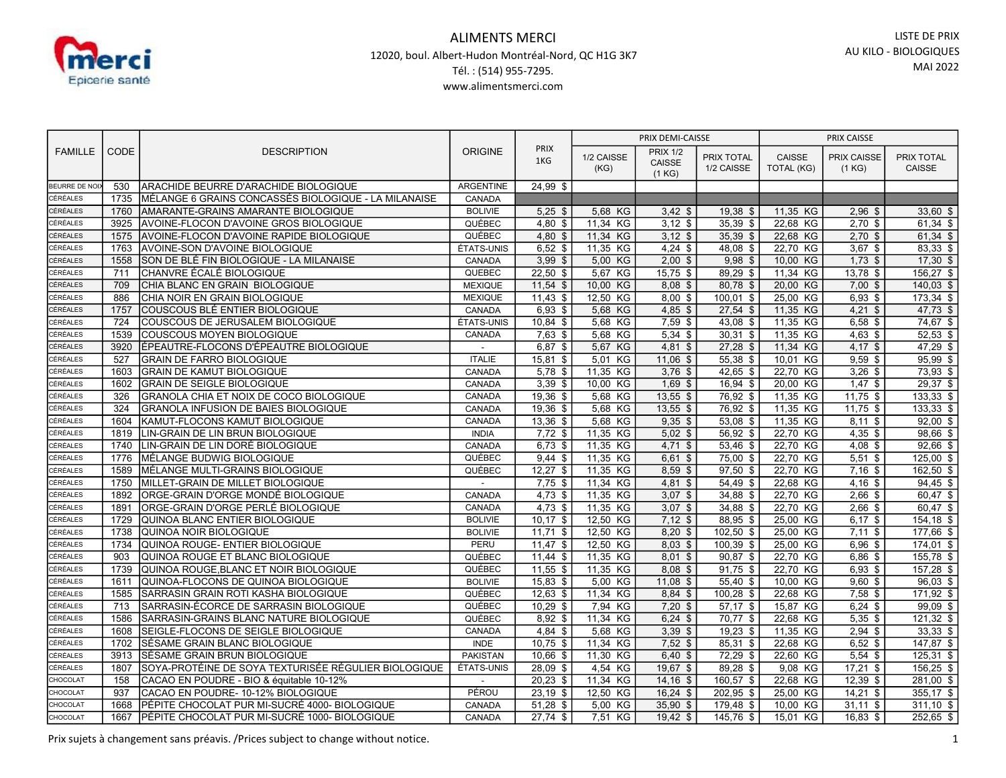

| <b>FAMILLE</b>       | <b>CODE</b>  | <b>DESCRIPTION</b>                                                            | <b>ORIGINE</b>                 | <b>PRIX</b><br>1KG      | PRIX DEMI-CAISSE        |                                     |                                 | PRIX CAISSE                 |                              |                             |
|----------------------|--------------|-------------------------------------------------------------------------------|--------------------------------|-------------------------|-------------------------|-------------------------------------|---------------------------------|-----------------------------|------------------------------|-----------------------------|
|                      |              |                                                                               |                                |                         | 1/2 CAISSE<br>(KG)      | <b>PRIX 1/2</b><br>CAISSE<br>(1 KG) | <b>PRIX TOTAL</b><br>1/2 CAISSE | CAISSE<br><b>TOTAL (KG)</b> | <b>PRIX CAISSE</b><br>(1 KG) | PRIX TOTAL<br><b>CAISSE</b> |
| BEURRE DE NO         | 530          | ARACHIDE BEURRE D'ARACHIDE BIOLOGIQUE                                         | <b>ARGENTINE</b>               | 24,99 \$                |                         |                                     |                                 |                             |                              |                             |
| CÉRÉALES             | 1735         | MÉLANGE 6 GRAINS CONCASSÉS BIOLOGIQUE - LA MILANAISE                          | CANADA                         |                         |                         |                                     |                                 |                             |                              |                             |
| CÉRÉALES             | 1760         | AMARANTE-GRAINS AMARANTE BIOLOGIQUE                                           | <b>BOLIVIE</b>                 | $5,25$ \$               | 5,68 KG                 | $3,42$ \$                           | 19,38 \$                        | 11,35 KG                    | $2,96$ \$                    | $33,60$ \$                  |
| CÉRÉALES             | 3925         | AVOINE-FLOCON D'AVOINE GROS BIOLOGIQUE                                        | QUÉBEC                         | $4,80$ \$               | 11,34 KG                | $3,12$ \$                           | 35,39 \$                        | 22,68 KG                    | $2,70$ \$                    | $61,34$ \$                  |
| CÉRÉALES             | 1575         | AVOINE-FLOCON D'AVOINE RAPIDE BIOLOGIQUE                                      | QUÉBEC                         | $4,80$ \$               | 11,34 KG                | $3.12$ \$                           | 35.39 \$                        | 22,68 KG                    | $2,70$ \$                    | $61,34$ \$                  |
| <b>CÉRÉALES</b>      | 1763         | AVOINE-SON D'AVOINE BIOLOGIQUE                                                | ÉTATS-UNIS                     | $6,52$ \$               | 11,35 KG                | $4,24$ \$                           | 48,08 \$                        | 22,70 KG                    | $3,67$ \$                    | 83,33 \$                    |
| CÉRÉALES             | 1558         | SON DE BLÉ FIN BIOLOGIQUE - LA MILANAISE                                      | CANADA                         | $3,99$ \$               | 5,00 KG                 | $2,00$ \$                           | $9,98$ \$                       | 10,00 KG                    | $1,73$ \$                    | $17,30$ \$                  |
| <b>CÉRÉALES</b>      | 711          | CHANVRE ÉCALÉ BIOLOGIQUE                                                      | QUEBEC                         | $22,50$ \$              | 5,67 KG                 | $15,75$ \$                          | 89,29 \$                        | 11,34 KG                    | $13,78$ \$                   | $156,27$ \$                 |
| CÉRÉALES             | 709          | CHIA BLANC EN GRAIN BIOLOGIQUE                                                | <b>MEXIQUE</b>                 | $11,54$ \$              | 10,00 KG                | $8,08$ \$                           | 80,78 \$                        | 20,00 KG                    | $7,00$ \$                    | $140,03$ \$                 |
| CÉRÉALES             | 886          | CHIA NOIR EN GRAIN BIOLOGIQUE                                                 | <b>MEXIQUE</b>                 | $11,43$ \$              | 12,50 KG                | $8,00$ \$                           | $100,01$ \$                     | 25,00 KG                    | $6,93$ \$                    | $173,34$ \$                 |
| CÉRÉALES             | 1757         | COUSCOUS BLÉ ENTIER BIOLOGIQUE                                                | CANADA                         | $6,93$ \$               | 5,68 KG                 | $4,85$ \$                           | $27,54$ \$                      | 11,35 KG                    | $4,21$ \$                    | $47,73$ \$                  |
| CÉRÉALES             | 724          | COUSCOUS DE JERUSALEM BIOLOGIQUE                                              | ÉTATS-UNIS                     | $10,84$ \$              | 5,68 KG                 | $7,59$ \$                           | 43,08 \$                        | 11,35 KG                    | $6,58$ \$                    | 74,67 \$                    |
| CÉRÉALES             | 1539         | COUSCOUS MOYEN BIOLOGIQUE                                                     | CANADA                         | $7,63$ \$               | 5,68 KG                 | $5,34$ \$                           | $30,31$ \$                      | 11,35 KG                    | $4,63$ \$                    | 52,53 \$                    |
| CÉRÉALES             | 3920         | ÉPEAUTRE-FLOCONS D'ÉPEAUTRE BIOLOGIQUE                                        | $\overline{\phantom{a}}$       | 6,87 \$                 | 5,67 KG                 | $4,81$ \$                           | $27,28$ \$                      | 11,34 KG                    | $4,17$ \$                    | 47,29 \$                    |
| CÉRÉALES             | 527          | <b>GRAIN DE FARRO BIOLOGIQUE</b>                                              | <b>ITALIE</b>                  | 15,81 \$                | 5,01 KG                 | $11,06$ \$                          | 55,38 \$                        | 10,01 KG                    | $9,59$ \$                    | 95,99 \$                    |
| CÉRÉALES             | 1603         | <b>GRAIN DE KAMUT BIOLOGIQUE</b>                                              | CANADA                         | $5,78$ \$               | 11,35 KG                | $3,76$ \$                           | $42,65$ \$                      | 22,70 KG                    | $3,26$ \$                    | 73,93 \$                    |
| CÉRÉALES             | 1602         | <b>GRAIN DE SEIGLE BIOLOGIQUE</b>                                             | CANADA                         | $3,39$ \$               | 10,00 KG                | $1,69$ \$                           | 16,94 \$                        | 20,00 KG                    | $1,47$ \$                    | $29,37$ \$                  |
| CÉRÉALES             | 326          | GRANOLA CHIA ET NOIX DE COCO BIOLOGIQUE                                       | CANADA                         | $19,36$ \$              | 5,68 KG                 | $13,55$ \$                          | 76,92 \$                        | 11,35 KG                    | $11,75$ \$                   | $133,33$ \$                 |
| CÉRÉALES             | 324          | <b>GRANOLA INFUSION DE BAIES BIOLOGIQUE</b>                                   | CANADA                         | 19,36 \$                | 5,68 KG                 | $13,55$ \$                          | 76,92 \$                        | 11,35 KG                    | $11,75$ \$                   | 133,33 \$                   |
| CÉRÉALES             | 1604         | KAMUT-FLOCONS KAMUT BIOLOGIQUE                                                | CANADA                         | 13,36 \$                | 5,68 KG                 | $9,35$ \$                           | 53.08 \$                        | 11.35 KG                    | $8,11$ \$                    | 92,00 \$                    |
| CÉRÉALES             | 1819         | LIN-GRAIN DE LIN BRUN BIOLOGIQUE                                              | <b>INDIA</b>                   | $7,72$ \$               | 11,35 KG                | $5,02$ \$                           | $56,92$ \$                      | 22,70 KG                    | $4,35$ \$                    | $98,66$ \$                  |
| CÉRÉALES             | 1740         | LIN-GRAIN DE LIN DORÉ BIOLOGIQUE                                              | CANADA                         | $6,73$ \$               | 11,35 KG                | $4,71$ \$                           | $53,46$ \$                      | 22,70 KG                    | $4,08$ \$                    | $92,66$ \$                  |
| CÉRÉALES             | 1776         | MÉLANGE BUDWIG BIOLOGIQUE                                                     | QUÉBEC                         | $9,44$ \$               | $11,35$ KG              | $6,61$ \$                           | $75,00$ \$                      | 22,70 KG                    | $5,51$ \$                    | $125,00$ \$                 |
| CÉRÉALES             | 1589         | MÉLANGE MULTI-GRAINS BIOLOGIQUE                                               | QUÉBEC                         | $12,27$ \$              | 11,35 KG                | $8,59$ \$                           | 97,50 \$                        | 22,70 KG                    | $7,16$ \$                    | $162,50$ \$                 |
| CÉRÉALES             | 1750         | MILLET-GRAIN DE MILLET BIOLOGIQUE                                             | $\sim$                         | $7,75$ \$               | 11,34 KG                | $4,81$ \$                           | 54,49 \$                        | 22,68 KG                    | $4,16$ \$                    | 94,45 \$                    |
| CÉRÉALES             | 1892         | ORGE-GRAIN D'ORGE MONDÉ BIOLOGIQUE                                            | CANADA                         | $4,73$ \$               | 11,35 KG                | $3,07$ \$                           | 34,88 \$                        | 22,70 KG                    | $2,66$ \$                    | 60,47 \$                    |
| CÉRÉALES             | 1891         | ORGE-GRAIN D'ORGE PERLÉ BIOLOGIQUE                                            | CANADA                         | $4,73$ \$               | 11,35 KG                | $3,07$ \$                           | 34.88 \$                        | 22,70 KG                    | $2,66$ \$                    | $60,47$ \$                  |
| CÉRÉALES             | 1729         | QUINOA BLANC ENTIER BIOLOGIQUE                                                | <b>BOLIVIE</b>                 | $10,17$ \$              | 12,50 KG                | $7,12$ \$                           | 88,95 \$                        | 25,00 KG                    | $6,17$ \$                    | $154, 18$ \$                |
| CÉRÉALES             | 1738         | QUINOA NOIR BIOLOGIQUE                                                        | <b>BOLIVIE</b>                 | $11,71$ \$              | 12,50 KG                | $8,20$ \$                           | $102,50$ \$                     | 25,00 KG                    | $7,11$ \$                    | 177,66 \$                   |
| CÉRÉALES             | 1734         | QUINOA ROUGE- ENTIER BIOLOGIQUE                                               | PERU                           | $11,47$ \$              | 12,50 KG                | $8,03$ \$                           | $100,39$ \$                     | 25,00 KG                    | $6,96$ \$                    | 174,01 \$                   |
| CÉRÉALES             | 903          | QUINOA ROUGE ET BLANC BIOLOGIQUE                                              | QUÉBEC                         | $11,44$ \$              | 11,35 KG                | $8,01$ \$                           | $90,87$ \$                      | 22,70 KG                    | $6,86$ \$                    | 155,78 \$                   |
| CÉRÉALES             | 1739         | QUINOA ROUGE, BLANC ET NOIR BIOLOGIQUE                                        | QUÉBEC                         | $11,55$ \$              | 11,35 KG                | $8.08$ \$                           | $91,75$ \$                      | 22,70 KG                    | $6,93$ \$                    | 157,28 \$                   |
| <b>CÉRÉALES</b>      | 1611<br>1585 | QUINOA-FLOCONS DE QUINOA BIOLOGIQUE                                           | <b>BOLIVIE</b>                 | $15,83$ \$              | 5,00 KG                 | $11,08$ \$                          | 55,40 \$                        | 10,00 KG                    | $9,60$ \$                    | 96,03 \$                    |
| CÉRÉALES             |              | SARRASIN GRAIN ROTI KASHA BIOLOGIQUE                                          | QUÉBEC                         | $12,63$ \$              | 11,34 KG                | 8,84 \$                             | 100,28 \$                       | 22,68 KG                    | $7,58$ \$                    | $171,92$ \$                 |
| CÉRÉALES             | 713<br>1586  | SARRASIN-ÉCORCE DE SARRASIN BIOLOGIQUE                                        | QUÉBEC                         | $10,29$ \$<br>$8,92$ \$ | 7,94 KG                 | $7,20$ \$                           | $57,17$ \$                      | 15,87 KG                    | $6,24$ \$                    | 99,09 \$                    |
| CÉRÉALES             |              | SARRASIN-GRAINS BLANC NATURE BIOLOGIQUE                                       | QUÉBEC                         |                         | 11,34 KG                | $6,24$ \$                           | 70,77 \$                        | 22,68 KG                    | $5,35$ \$                    | $121,32$ \$                 |
| CÉRÉALES             | 1608         | SEIGLE-FLOCONS DE SEIGLE BIOLOGIQUE                                           | CANADA                         | $4,84$ \$               | 5,68 KG                 | $3,39$ \$                           | $19,23$ \$                      | 11,35 KG                    | $2,94$ \$                    | $33,33$ \$                  |
| CÉRÉALES<br>CÉRÉALES | 1702<br>3913 | SÉSAME GRAIN BLANC BIOLOGIQUE<br>SÉSAME GRAIN BRUN BIOLOGIQUE                 | <b>INDE</b><br><b>PAKISTAN</b> | $10,75$ \$<br>10,66 \$  | 11,34 KG<br>11,30<br>KG | $7,52$ \$<br>$6,40$ \$              | 85,31 \$<br>72,29 \$            | 22,68 KG<br>22,60 KG        | $6,52$ \$<br>$5,54$ \$       | 147,87 \$<br>$125,31$ \$    |
| CÉRÉALES             |              |                                                                               | <b>ÉTATS-UNIS</b>              |                         |                         |                                     |                                 |                             |                              |                             |
| CHOCOLAT             | 1807<br>158  | SOYA-PROTÉINE DE SOYA TEXTURISÉE RÉGULIER BIOLOGIQUE                          | $\overline{\phantom{a}}$       | 28,09 \$<br>$20,23$ \$  | 4,54 KG<br>11,34 KG     | 19,67 \$<br>$14,16$ \$              | 89,28 \$<br>$160,57$ \$         | 9,08 KG<br>22,68 KG         | $17,21$ \$<br>$12,39$ \$     | 156,25 \$                   |
| CHOCOLAT             | 937          | CACAO EN POUDRE - BIO & équitable 10-12%<br>CACAO EN POUDRE-10-12% BIOLOGIQUE | PÉROU                          | 23,19 \$                | 12,50 KG                | $16,24$ \$                          | 202,95 \$                       | 25,00 KG                    | $14,21$ \$                   | 281,00 \$<br>$355,17$ \$    |
| CHOCOLAT             | 1668         | PÉPITE CHOCOLAT PUR MI-SUCRÉ 4000- BIOLOGIQUE                                 | CANADA                         | $51,28$ \$              | 5,00<br>КG              | $35,90$ \$                          | 179.48 \$                       | 10,00 KG                    | $31,11$ \$                   | $311,10$ \$                 |
| CHOCOLAT             | 1667         | PÉPITE CHOCOLAT PUR MI-SUCRÉ 1000- BIOLOGIQUE                                 | CANADA                         | $27,74$ \$              | 7,51 KG                 | $19,42$ \$                          | 145,76 \$                       | 15,01 KG                    | $16,83$ \$                   | 252,65 \$                   |
|                      |              |                                                                               |                                |                         |                         |                                     |                                 |                             |                              |                             |

Prix sujets à changement sans préavis. /Prices subject to change without notice. 1 1 and 200 m and 200 m and 200 m and 200 m and 200 m and 200 m and 200 m and 200 m and 200 m and 200 m and 200 m and 200 m and 200 m and 200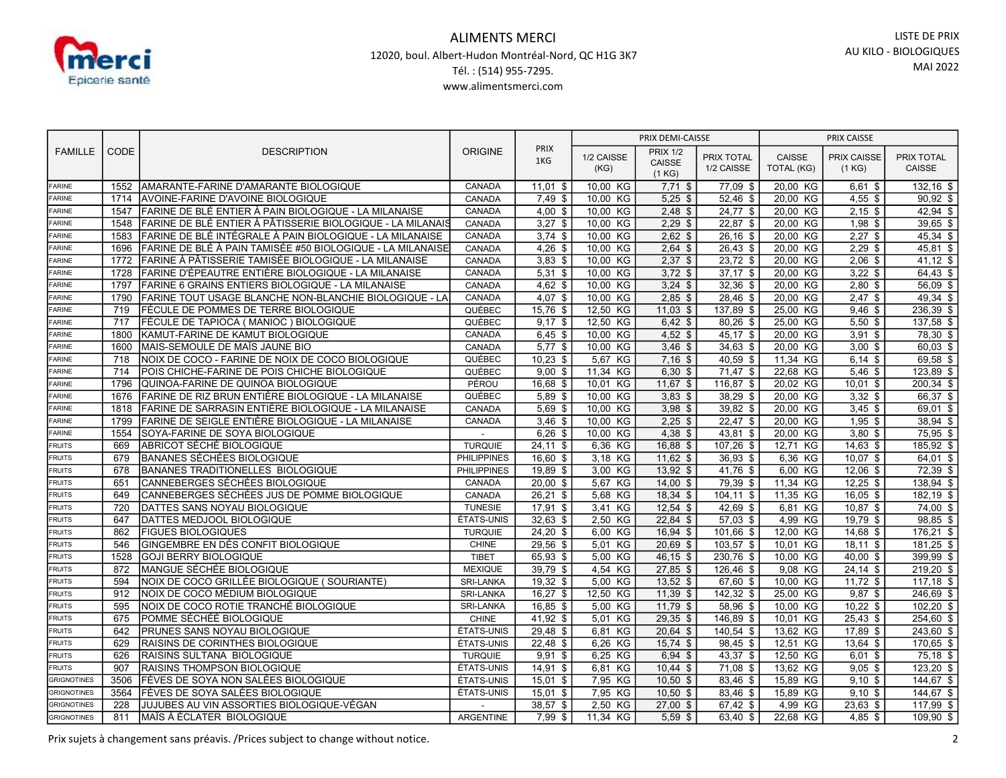

| <b>FAMILLE</b>                    | <b>CODE</b> | <b>DESCRIPTION</b>                                         | <b>ORIGINE</b>     | <b>PRIX</b><br>1KG | PRIX DEMI-CAISSE   |                                     |                                 | PRIX CAISSE          |                              |                      |
|-----------------------------------|-------------|------------------------------------------------------------|--------------------|--------------------|--------------------|-------------------------------------|---------------------------------|----------------------|------------------------------|----------------------|
|                                   |             |                                                            |                    |                    | 1/2 CAISSE<br>(KG) | <b>PRIX 1/2</b><br>CAISSE<br>(1 KG) | <b>PRIX TOTAL</b><br>1/2 CAISSE | CAISSE<br>TOTAL (KG) | <b>PRIX CAISSE</b><br>(1 KG) | PRIX TOTAL<br>CAISSE |
| <b>FARINE</b>                     | 1552        | AMARANTE-FARINE D'AMARANTE BIOLOGIQUE                      | CANADA             | $11,01$ \$         | 10,00 KG           | $7,71$ \$                           | 77,09 \$                        | 20,00 KG             | $6,61$ \$                    | $132,16$ \$          |
| <b>FARINE</b>                     | 1714        | <b>AVOINE-FARINE D'AVOINE BIOLOGIQUE</b>                   | CANADA             | $7,49$ \$          | 10.00 KG           | $5,25$ \$                           | 52,46 \$                        | 20,00 KG             | $4,55$ \$                    | $90,92$ \$           |
| <b>FARINE</b>                     | 1547        | FARINE DE BLÉ ENTIER À PAIN BIOLOGIQUE - LA MILANAISE      | CANADA             | $4,00$ \$          | 10,00<br>KG        | $2,48$ \$                           | 24,77 \$                        | 20,00 KG             | $2,15$ \$                    | 42,94 \$             |
| <b>FARINE</b>                     | 1548        | FARINE DE BLÉ ENTIER À PÂTISSERIE BIOLOGIQUE - LA MILANAIS | CANADA             | $3,27$ \$          | 10,00 KG           | $2,29$ \$                           | $22,87$ \$                      | 20,00 KG             | $1,98$ \$                    | 39,65 \$             |
| <b>FARINE</b>                     | 1583        | FARINE DE BLÉ INTÉGRALE À PAIN BIOLOGIQUE - LA MILANAISE   | CANADA             | $3,74$ \$          | 10,00<br>KG        | $2,62$ \$                           | $26,16$ \$                      | 20,00 KG             | $2,27$ \$                    | 45,34 \$             |
| <b>FARINE</b>                     | 1696        | FARINE DE BLÉ À PAIN TAMISÉE #50 BIOLOGIQUE - LA MILANAISE | CANADA             | $4,26$ \$          | 10,00 KG           | $2,64$ \$                           | 26,43 \$                        | 20,00 KG             | $2,29$ \$                    | 45,81 \$             |
| <b>FARINE</b>                     | 1772        | FARINE À PÂTISSERIE TAMISÉE BIOLOGIQUE - LA MILANAISE      | CANADA             | $3,83$ \$          | 10.00 KG           | $2,37$ \$                           | $23,72$ \$                      | 20,00 KG             | $2,06$ \$                    | $41,12$ \$           |
| <b>FARINE</b>                     | 1728        | FARINE D'ÉPEAUTRE ENTIÈRE BIOLOGIQUE - LA MILANAISE        | CANADA             | $5,31$ \$          | 10,00 KG           | $3,72$ \$                           | $37,17$ \$                      | 20,00 KG             | $3,22$ \$                    | 64,43 \$             |
| <b>FARINE</b>                     | 1797        | FARINE 6 GRAINS ENTIERS BIOLOGIQUE - LA MILANAISE          | CANADA             | $4,62$ \$          | 10.00 KG           | $3,24$ \$                           | 32.36 \$                        | 20.00 KG             | $2,80$ \$                    | 56.09 \$             |
| <b>FARINE</b>                     | 1790        | FARINE TOUT USAGE BLANCHE NON-BLANCHIE BIOLOGIQUE - LA     | CANADA             | $4,07$ \$          | 10,00 KG           | $2,85$ \$                           | 28,46 \$                        | 20,00 KG             | $2,47$ \$                    | $49,34$ \$           |
| FARINE                            | 719         | FÉCULE DE POMMES DE TERRE BIOLOGIQUE                       | QUÉBEC             | $15,76$ \$         | 12.50 KG           | $11.03$ \$                          | 137.89 \$                       | 25.00 KG             | $9.46$ \$                    | 236,39 \$            |
| <b>FARINE</b>                     | 717         | FÉCULE DE TAPIOCA (MANIOC) BIOLOGIQUE                      | QUÉBEC             | $9,17$ \$          | 12,50<br>КG        | $6,42$ \$                           | $80,26$ \$                      | 25,00 KG             | $5,50$ \$                    | $137,58$ \$          |
| FARINE                            | 1800        | KAMUT-FARINE DE KAMUT BIOLOGIQUE                           | CANADA             | $6,45$ \$          | 10,00 KG           | $4,52$ \$                           | 45,17 \$                        | 20,00 KG             | $3,91$ \$                    | 78,30 \$             |
| FARINE                            | 1600        | MAIS-SEMOULE DE MAÏS JAUNE BIO                             | CANADA             | $5,77$ \$          | 10,00<br>КG        | $3,46$ \$                           | $34,63$ \$                      | 20,00 KG             | $3,00$ \$                    | 60,03 \$             |
| FARINE                            | 718         | NOIX DE COCO - FARINE DE NOIX DE COCO BIOLOGIQUE           | QUÉBEC             | $10,23$ \$         | 5,67 KG            | $7,16$ \$                           | 40,59 \$                        | 11,34 KG             | $6,14$ \$                    | 69,58 \$             |
| <b>FARINE</b>                     | 714         | POIS CHICHE-FARINE DE POIS CHICHE BIOLOGIQUE               | QUÉBEC             | $9,00$ \$          | 11,34 KG           | $6,30$ \$                           | $71,47$ \$                      | 22,68 KG             | $5,46$ \$                    | 123,89 \$            |
| <b>FARINE</b>                     | 1796        | QUINOA-FARINE DE QUINOA BIOLOGIQUE                         | PÉROU              | 16,68 \$           | 10,01 KG           | $11,67$ \$                          | 116,87 \$                       | 20,02 KG             | $10,01$ \$                   | $200,34$ \$          |
| FARINE                            | 1676        | FARINE DE RIZ BRUN ENTIÈRE BIOLOGIQUE - LA MILANAISE       | QUÉBEC             | $5,89$ \$          | 10,00<br>KG        | $3,83$ \$                           | 38,29 \$                        | 20,00 KG             | $3,32$ \$                    | 66,37 \$             |
| <b>FARINE</b>                     | 1818        | FARINE DE SARRASIN ENTIÈRE BIOLOGIQUE - LA MILANAISE       | CANADA             | 5,69 \$            | 10,00 KG           | $3,98$ \$                           | 39,82 \$                        | 20,00 KG             | $3,45$ \$                    | 69,01 \$             |
| <b>FARINE</b>                     | 1799        | FARINE DE SEIGLE ENTIÈRE BIOLOGIQUE - LA MILANAISE         | CANADA             | $3,46$ \$          | 10.00 KG           | $2,25$ \$                           | 22.47 \$                        | 20.00 KG             | $1,95$ \$                    | 38,94 \$             |
| <b>FARINE</b>                     | 1554        | SOYA-FARINE DE SOYA BIOLOGIQUE                             |                    | $6,26$ \$          | 10,00<br>KG        | $4,38$ \$                           | 43,81 \$                        | 20,00 KG             | $3,80$ \$                    | 75,95 \$             |
| <b>FRUITS</b>                     | 669         | ABRICOT SÉCHÉ BIOLOGIQUE                                   | <b>TURQUIE</b>     | $24,11$ \$         | 6,36 KG            | 16,88 \$                            | 107,26 \$                       | 12,71 KG             | $14,63$ \$                   | $185,92$ \$          |
| FRUITS                            | 679         | <b>BANANES SÉCHÉES BIOLOGIQUE</b>                          | <b>PHILIPPINES</b> | $16,60$ \$         | 3,18 KG            | $11,62$ \$                          | $36,93$ \$                      | 6,36 KG              | $10,07$ \$                   | $64,01$ \$           |
| <b>FRUITS</b>                     | 678         | <b>BANANES TRADITIONELLES BIOLOGIQUE</b>                   | <b>PHILIPPINES</b> | 19,89 \$           | 3,00 KG            | $13,92$ \$                          | 41,76 \$                        | 6,00 KG              | $12,06$ \$                   | 72,39 \$             |
| <b>FRUITS</b>                     | 651         | CANNEBERGES SÉCHÉES BIOLOGIQUE                             | CANADA             | $20,00$ \$         | 5.67 KG            | $14.00$ \$                          | 79.39 \$                        | 11.34 KG             | $12,25$ \$                   | 138,94 \$            |
| <b>FRUITS</b>                     | 649         | CANNEBERGES SÉCHÉES JUS DE POMME BIOLOGIQUE                | CANADA             | $26,21$ \$         | 5,68 KG            | $18,34$ \$                          | $104, 11$ \$                    | 11,35 KG             | $16,05$ \$                   | $182, 19$ \$         |
| FRUITS                            | 720         | DATTES SANS NOYAU BIOLOGIQUE                               | <b>TUNESIE</b>     | $17,91$ \$         | 3.41 KG            | $12.54$ \$                          | 42.69 \$                        | 6,81 KG              | $10.87$ \$                   | $74,00$ \$           |
| <b>FRUITS</b>                     | 647         | DATTES MEDJOOL BIOLOGIQUE                                  | ÉTATS-UNIS         | $32,63$ \$         | 2,50<br>KG         | $22,84$ \$                          | $\overline{57,03}$ \$           | 4,99 KG              | 19,79 \$                     | 98,85 \$             |
| <b>FRUITS</b>                     | 862         | <b>FIGUES BIOLOGIQUES</b>                                  | <b>TURQUIE</b>     | 24,20 \$           | 6.00 KG            | $16.94$ \$                          | 101.66 \$                       | 12,00 KG             | $14,68$ \$                   | 176.21 \$            |
| <b>FRUITS</b>                     | 546         | GINGEMBRE EN DÉS CONFIT BIOLOGIQUE                         | <b>CHINE</b>       | 29,56 \$           | 5,01<br>KG         | 20,69 \$                            | 103,57 \$                       | 10,01 KG             | $18,11$ \$                   | 181,25 \$            |
| <b>FRUITS</b>                     | 1528        | <b>GOJI BERRY BIOLOGIQUE</b>                               | <b>TIBET</b>       | 65,93 \$           | 5,00<br>KG         | 46,15 \$                            | 230,76 \$                       | 10,00 KG             | 40,00 \$                     | 399,99 \$            |
| FRUITS                            | 872         | MANGUE SÉCHÉE BIOLOGIQUE                                   | <b>MEXIQUE</b>     | $39,79$ \$         | 4,54 KG            | $27,85$ \$                          | 126,46 \$                       | 9,08 KG              | $24,14$ \$                   | 219,20 \$            |
| <b>FRUITS</b>                     | 594         | NOIX DE COCO GRILLÉE BIOLOGIQUE (SOURIANTE)                | SRI-LANKA          | $19,32$ \$         | 5,00 KG            | $13,52$ \$                          | 67,60 \$                        | 10,00 KG             | $11,72$ \$                   | $117,18$ \$          |
| <b>FRUITS</b>                     | 912         | NOIX DE COCO MÉDIUM BIOLOGIQUE                             | SRI-LANKA          | $16,27$ \$         | 12,50 KG           | $11,39$ \$                          | $142,32$ \$                     | 25,00 KG             | $9,87$ \$                    | $246,69$ \$          |
| <b>FRUITS</b>                     | 595         | NOIX DE COCO ROTIE TRANCHÉ BIOLOGIQUE                      | SRI-LANKA          | $16,85$ \$         | 5,00<br>KG         | $11,79$ \$                          | $58,96$ \$                      | 10,00 KG             | $10,22$ \$                   | $102,20$ \$          |
| <b>FRUITS</b>                     | 675         | POMME SÉCHÉÉ BIOLOGIQUE                                    | <b>CHINE</b>       | $41,92$ \$         | KG<br>5,01         | $29,35$ \$                          | 146,89 \$                       | 10,01 KG             | $25,43$ \$                   | $254,60$ \$          |
| <b>FRUITS</b>                     | 642         | PRUNES SANS NOYAU BIOLOGIQUE                               | ÉTATS-UNIS         | $29,48$ \$         | 6,81<br>KG         | $20,64$ \$                          | 140,54 \$                       | 13,62 KG             | 17,89 \$                     | $243,60$ \$          |
| <b>FRUITS</b>                     | 629         | RAISINS DE CORINTHES BIOLOGIQUE                            | ÉTATS-UNIS         | 22,48 \$           | 6,26 KG            | $15,74$ \$                          | 98.45 \$                        | 12,51 KG             | 13,64 \$                     | $170,65$ \$          |
| <b>FRUITS</b>                     | 626         | RAISINS SULTANA BIOLOGIQUE                                 | <b>TURQUIE</b>     | $9,91$ \$          | 6,25 KG            | $6,94$ \$                           | 43,37 \$                        | 12,50 KG             | $6,01$ \$                    | $75,18$ \$           |
| <b>FRUITS</b>                     | 907         | RAISINS THOMPSON BIOLOGIQUE                                | ÉTATS-UNIS         | 14,91 \$           | 6,81 KG            | $10,44$ \$                          | 71,08 \$                        | 13,62 KG             | $9,05$ \$                    | $123,20$ \$          |
| <b>GRIGNOTINES</b>                | 3506        | FÈVES DE SOYA NON SALÉES BIOLOGIQUE                        | ÉTATS-UNIS         | $15,01$ \$         | 7,95 KG            | $10,50$ \$                          | $83,46$ \$                      | 15,89 KG             | $9,10$ \$                    | $144,67$ \$          |
| <b>GRIGNOTINES</b>                | 3564        | FÈVES DE SOYA SALÉES BIOLOGIQUE                            | ÉTATS-UNIS         | $15,01$ \$         | 7,95 KG            | $10,50$ \$                          | 83,46 \$                        | 15,89 KG             | $9,10$ \$                    | 144,67 \$            |
| GRIGNOTINES<br><b>GRIGNOTINES</b> | 228         | JUJUBES AU VIN ASSORTIES BIOLOGIQUE-VÉGAN                  |                    | 38.57 \$           | 2.50 KG            | $27,00$ \$                          | 67,42 \$                        | 4,99 KG              | $23,63$ \$                   | 117,99 \$            |
|                                   | 811         | MAÏS À ÉCLATER BIOLOGIQUE                                  | <b>ARGENTINE</b>   | $7.99$ \$          | 11,34 KG           | $5,59$ \$                           | 63.40 \$                        | 22,68 KG             | $4,85$ \$                    | 109,90 \$            |

Prix sujets à changement sans préavis. /Prices subject to change without notice. 2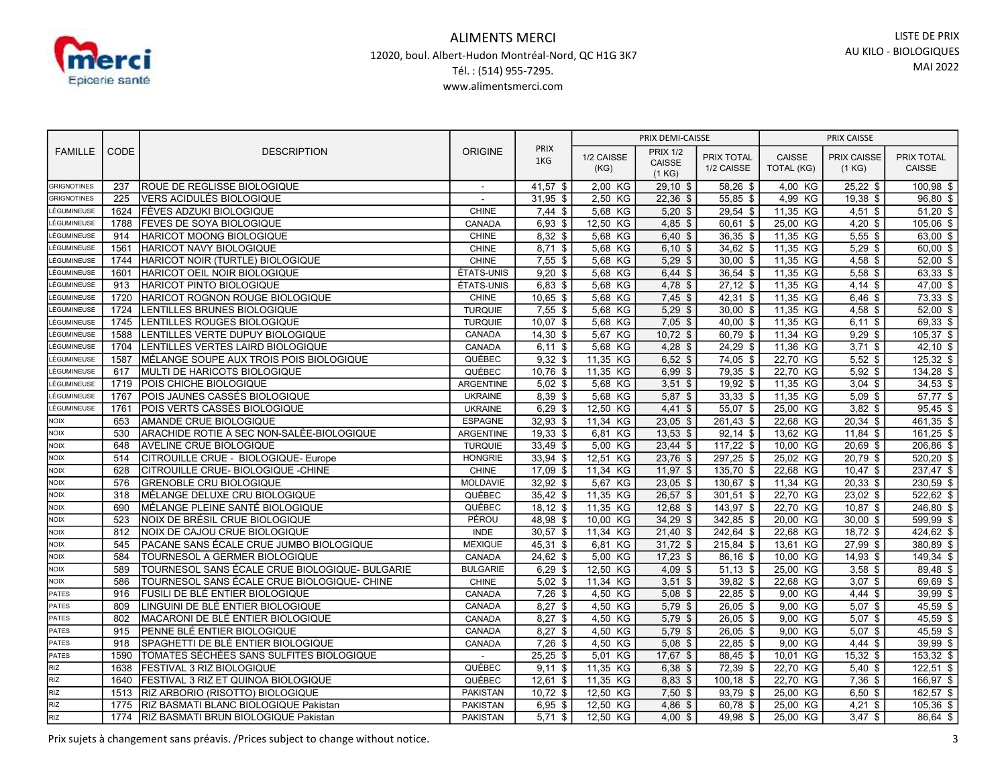

|                                          | CODE       | <b>DESCRIPTION</b>                                  | <b>ORIGINE</b>   | <b>PRIX</b><br>1KG      | PRIX DEMI-CAISSE   |                         |                          | PRIX CAISSE         |                        |                           |
|------------------------------------------|------------|-----------------------------------------------------|------------------|-------------------------|--------------------|-------------------------|--------------------------|---------------------|------------------------|---------------------------|
| <b>FAMILLE</b>                           |            |                                                     |                  |                         | 1/2 CAISSE         | <b>PRIX 1/2</b>         | PRIX TOTAL               | CAISSE              | <b>PRIX CAISSE</b>     | PRIX TOTAL                |
|                                          |            |                                                     |                  |                         | (KG)               | CAISSE                  | 1/2 CAISSE               | TOTAL (KG)          | (1 KG)                 | CAISSE                    |
|                                          |            |                                                     |                  |                         |                    | (1 KG)                  |                          |                     |                        |                           |
| <b>GRIGNOTINES</b><br><b>GRIGNOTINES</b> | 237<br>225 | ROUE DE REGLISSE BIOLOGIQUE                         | $\overline{a}$   | $41,57$ \$              | 2,00 KG            | $29,10$ \$              | $58,26$ \$<br>$55,85$ \$ | 4,00 KG             | $25,22$ \$             | $100,98$ \$<br>$96,80$ \$ |
| LÉGUMINEUSE                              | 1624       | VERS ACIDULÉS BIOLOGIQUE<br>FÈVES ADZUKI BIOLOGIQUE | CHINE            | $31,95$ \$<br>$7,44$ \$ | 2,50 KG<br>5,68 KG | $22,36$ \$<br>$5,20$ \$ | $29,54$ \$               | 4,99 KG<br>11,35 KG | $19,38$ \$             | $51,20$ \$                |
| LÉGUMINEUSE                              | 1788       | <b>FEVES DE SOYA BIOLOGIQUE</b>                     | CANADA           | $6,93$ \$               | 12,50 KG           | $4.85$ \$               | 60.61 \$                 | 25,00 KG            | $4,51$ \$<br>$4,20$ \$ | 105.06 \$                 |
| LÉGUMINEUSE                              | 914        | HARICOT MOONG BIOLOGIQUE                            | <b>CHINE</b>     | 8,32 \$                 | 5,68 KG            | $6.40$ \$               | 36,35 \$                 | 11,35 KG            | $5,55$ \$              | 63,00 \$                  |
| LÉGUMINEUSE                              | 1561       | HARICOT NAVY BIOLOGIQUE                             | <b>CHINE</b>     | $8,71$ \$               | 5,68 KG            | $6,10$ \$               | 34,62 \$                 | 11,35 KG            | $5,29$ \$              | $60,00$ \$                |
| LÉGUMINEUSE                              | 1744       | HARICOT NOIR (TURTLE) BIOLOGIQUE                    | <b>CHINE</b>     | $7,55$ \$               | 5,68 KG            | $5.29$ \$               | $30,00$ \$               | 11,35 KG            | $4,58$ \$              | $52,00$ \$                |
| LÉGUMINEUSE                              | 1601       | HARICOT OEIL NOIR BIOLOGIQUE                        | ÉTATS-UNIS       | $9,20$ \$               | 5,68 KG            | $6,44$ \$               | $36,54$ \$               | 11,35 KG            | $5,58$ \$              | 63,33 \$                  |
| LÉGUMINEUSE                              | 913        | <b>HARICOT PINTO BIOLOGIQUE</b>                     | ÉTATS-UNIS       | $6,83$ \$               | 5,68 KG            | $4.78$ \$               | $27.12$ \$               | 11,35 KG            | $4,14$ \$              | $47,00$ \$                |
| LÉGUMINEUSE                              | 1720       | HARICOT ROGNON ROUGE BIOLOGIQUE                     | <b>CHINE</b>     | $10,65$ \$              | 5,68 KG            | $7,45$ \$               | $42,31$ \$               | 11,35 KG            | $6,46$ \$              | $73,33$ \$                |
| LÉGUMINEUSE                              | 1724       | LENTILLES BRUNES BIOLOGIQUE                         | <b>TURQUIE</b>   | $7,55$ \$               | 5.68 KG            | $5.29$ \$               | $30.00$ \$               | 11.35 KG            | $4,58$ \$              | $52,00$ \$                |
| LÉGUMINEUSE                              | 1745       | LENTILLES ROUGES BIOLOGIQUE                         | <b>TURQUIE</b>   | $10,07$ \$              | 5,68 KG            | $7,05$ \$               | 40.00 \$                 | 11,35 KG            | $6,11$ \$              | 69,33 \$                  |
| LÉGUMINEUSE                              | 1588       | LENTILLES VERTE DUPUY BIOLOGIQUE                    | CANADA           | $14,30$ \$              | 5.67 KG            | $10.72$ \$              | 60.79 \$                 | 11,34 KG            | $9,29$ \$              | $105,37$ \$               |
| LÉGUMINEUSE                              | 1704       | LENTILLES VERTES LAIRD BIOLOGIQUE                   | CANADA           | $6,11$ \$               | 5,68 KG            | $4,28$ \$               | $24,29$ \$               | 11,36 KG            | $3,71$ \$              | $42,10$ \$                |
| LÉGUMINEUSE                              | 1587       | MÉLANGE SOUPE AUX TROIS POIS BIOLOGIQUE             | QUÉBEC           | $9,32$ \$               | 11,35 KG           | $6,52$ \$               | 74,05 \$                 | 22,70 KG            | $5,52$ \$              | 125,32 \$                 |
| LÉGUMINEUSE                              | 617        | MULTI DE HARICOTS BIOLOGIQUE                        | QUÉBEC           | $10,76$ \$              | 11,35 KG           | $6,99$ \$               | 79,35 \$                 | 22,70 KG            | $5,92$ \$              | $134,28$ \$               |
| LÉGUMINEUSE                              | 1719       | POIS CHICHE BIOLOGIQUE                              | <b>ARGENTINE</b> | $5.02$ \$               | 5,68 KG            | $3,51$ \$               | $19,92$ \$               | 11,35 KG            | $3,04$ \$              | $34,53$ \$                |
| LÉGUMINEUSE                              | 1767       | POIS JAUNES CASSÉS BIOLOGIQUE                       | <b>UKRAINE</b>   | 8,39 \$                 | 5,68 KG            | 5,87 \$                 | $33,33$ \$               | 11,35 KG            | $5,09$ \$              | 57,77 \$                  |
| LÉGUMINEUSE                              | 1761       | POIS VERTS CASSÉS BIOLOGIQUE                        | <b>UKRAINE</b>   | $6,29$ \$               | 12,50 KG           | $4,41$ \$               | 55,07 \$                 | 25,00 KG            | $3,82$ \$              | $95,45$ \$                |
| <b>NOIX</b>                              | 653        | <b>AMANDE CRUE BIOLOGIQUE</b>                       | <b>ESPAGNE</b>   | $32,93$ \$              | 11.34 KG           | $23,05$ \$              | 261,43 \$                | 22,68 KG            | $20,34$ \$             | 461,35 \$                 |
| <b>NOIX</b>                              | 530        | ARACHIDE ROTIE À SEC NON-SALÉE-BIOLOGIQUE           | <b>ARGENTINE</b> | $19,33$ \$              | 6,81<br>KG         | $13,53$ \$              | $92,14$ \$               | 13,62 KG            | $11,84$ \$             | $161,25$ \$               |
| <b>NOIX</b>                              | 648        | <b>AVELINE CRUE BIOLOGIQUE</b>                      | <b>TURQUIE</b>   | $33,49$ \$              | 5,00 KG            | $23,44$ \$              | $117,22$ \$              | 10.00 KG            | $20,69$ \$             | $206,86$ \$               |
| <b>NOIX</b>                              | 514        | CITROUILLE CRUE - BIOLOGIQUE- Europe                | <b>HONGRIE</b>   | $33,94$ \$              | 12,51 KG           | $23,76$ \$              | $297,25$ \$              | 25,02 KG            | $20,79$ \$             | $520,20$ \$               |
| NOIX                                     | 628        | CITROUILLE CRUE-BIOLOGIQUE - CHINE                  | <b>CHINE</b>     | $17,09$ \$              | 11,34 KG           | $11,97$ \$              | $135,70$ \$              | 22,68 KG            | $10,47$ \$             | 237,47 \$                 |
| <b>NOIX</b>                              | 576        | <b>GRENOBLE CRU BIOLOGIQUE</b>                      | <b>MOLDAVIE</b>  | $32,92$ \$              | 5,67 KG            | $23,05$ \$              | 130,67 \$                | 11,34 KG            | $20,33$ \$             | $230,59$ \$               |
| <b>NOIX</b>                              | 318        | MÉLANGE DELUXE CRU BIOLOGIQUE                       | QUÉBEC           | $35,42$ \$              | 11,35 KG           | $26,57$ \$              | $301,51$ \$              | 22,70 KG            | $23,02$ \$             | 522,62 \$                 |
| <b>NOIX</b>                              | 690        | MÉLANGE PLEINE SANTÉ BIOLOGIQUE                     | QUÉBEC           | $18,12$ \$              | 11,35 KG           | $12,68$ \$              | 143,97 \$                | 22.70 KG            | $10.87$ \$             | 246,80 \$                 |
| <b>NOIX</b>                              | 523        | NOIX DE BRÉSIL CRUE BIOLOGIQUE                      | PÉROU            | 48,98 \$                | 10,00 KG           | $34,29$ \$              | 342,85 \$                | 20,00 KG            | $30,00$ \$             | 599,99 \$                 |
| <b>NOIX</b>                              | 812        | NOIX DE CAJOU CRUE BIOLOGIQUE                       | <b>INDE</b>      | $30,57$ \$              | 11,34 KG           | $21,40$ \$              | 242,64 \$                | 22,68 KG            | $18,72$ \$             | 424,62 \$                 |
| <b>NOIX</b>                              | 545        | PACANE SANS ÉCALE CRUE JUMBO BIOLOGIQUE             | <b>MEXIQUE</b>   | 45,31 \$                | 6,81<br>KG         | $31,72$ \$              | 215.84 \$                | 13,61 KG            | 27,99 \$               | 380,89 \$                 |
| <b>NOIX</b>                              | 584        | TOURNESOL A GERMER BIOLOGIQUE                       | CANADA           | $24,62$ \$              | 5,00 KG            | $17,23$ \$              | 86,16 \$                 | 10,00 KG            | $14.93$ \$             | $149,34$ \$               |
| <b>NOIX</b>                              | 589        | TOURNESOL SANS ÉCALE CRUE BIOLOGIQUE- BULGARIE      | <b>BULGARIE</b>  | $6,29$ \$               | 12,50 KG           | $4,09$ \$               | $51,13$ \$               | 25,00 KG            | $3,58$ \$              | 89,48 \$                  |
| NOIX                                     | 586        | TOURNESOL SANS ÉCALE CRUE BIOLOGIQUE- CHINE         | <b>CHINE</b>     | $5,02$ \$               | 11,34 KG           | $3,51$ \$               | $39,82$ \$               | 22,68 KG            | $3,07$ \$              | $69,69$ \$                |
| PATES                                    | 916        | FUSILI DE BLÉ ENTIER BIOLOGIQUE                     | CANADA           | $7,26$ \$               | 4,50 KG            | $5,08$ \$               | $22,85$ \$               | 9,00 KG             | $4,44$ \$              | $39,99$ \$                |
| PATES                                    | 809        | LINGUINI DE BLÉ ENTIER BIOLOGIQUE                   | CANADA           | $8,27$ \$               | 4,50 KG            | $5,79$ \$               | $26,05$ \$               | 9,00 KG             | $5,07$ \$              | $45,59$ \$                |
| PATES                                    | 802        | MACARONI DE BLÉ ENTIER BIOLOGIQUE                   | CANADA           | $8,27$ \$               | KG<br>4,50         | 5.79 \$                 | $26,05$ \$               | 9,00 KG             | $5.07$ \$              | $45,59$ \$                |
| PATES                                    | 915        | PENNE BLÉ ENTIER BIOLOGIQUE                         | CANADA           | $8,27$ \$               | 4,50 KG            | $5,79$ \$               | $26,05$ \$               | 9,00 KG             | $5,07$ \$              | $45,59$ \$                |
| PATES                                    | 918        | SPAGHETTI DE BLÉ ENTIER BIOLOGIQUE                  | CANADA           | $7,26$ \$               | 4,50 KG            | $5.08$ \$               | $22,85$ \$               | 9,00 KG             | $4,44$ \$              | $39,99$ \$                |
| PATES                                    | 1590       | TOMATES SÉCHÉES SANS SULFITES BIOLOGIQUE            |                  | $25,25$ \$              | 5,01 KG            | 17,67 \$                | 88,45 \$                 | 10,01 KG            | $15,32$ \$             | $153,32$ \$               |
| <b>RIZ</b>                               | 1638       | <b>FESTIVAL 3 RIZ BIOLOGIQUE</b>                    | QUÉBEC           | $9,11$ \$               | 11,35 KG           | $6,38$ \$               | 72,39 \$                 | 22,70 KG            | $5,40$ \$              | $122,51$ \$               |
| <b>RIZ</b>                               | 1640       | FESTIVAL 3 RIZ ET QUINOA BIOLOGIQUE                 | QUÉBEC           | $12,61$ \$              | 11,35 KG           | 8,83 \$                 | $100, 18$ \$             | 22,70 KG            | $7,36$ \$              | 166,97 \$                 |
| <b>RIZ</b>                               | 1513       | <b>RIZ ARBORIO (RISOTTO) BIOLOGIQUE</b>             | <b>PAKISTAN</b>  | $10,72$ \$              | 12,50 KG           | $7,50$ \$               | 93,79 \$                 | 25,00 KG            | $6,50$ \$              | 162,57 \$                 |
| RIZ                                      | 1775       | RIZ BASMATI BLANC BIOLOGIQUE Pakistan               | <b>PAKISTAN</b>  | $6,95$ \$               | 12,50 KG           | 4.86~\$                 | 60.78 \$                 | 25,00 KG            | $4,21$ \$              | $105,36$ \$               |
| RIZ                                      |            | 1774 RIZ BASMATI BRUN BIOLOGIQUE Pakistan           | <b>PAKISTAN</b>  | $5.71$ \$               | 12,50 KG           | $4,00$ \$               | 49,98 \$                 | 25,00 KG            | $3,47$ \$              | 86,64 \$                  |

Prix sujets à changement sans préavis. /Prices subject to change without notice. 3